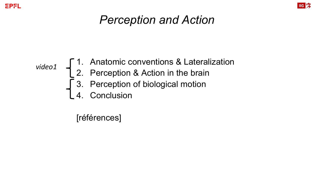



## *Perception and Action*

#### 1. Anatomic conventions & Lateralization 2. Perception & Action in the brain 3. Perception of biological motion 4. Conclusion *video1*

[références]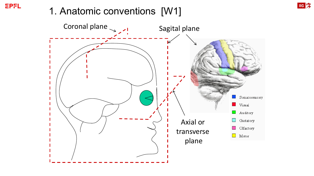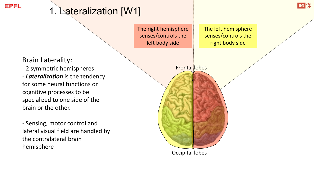## 1. Lateralization [W1]

The right hemisphere senses/controls the left body side

The left hemisphere senses/controls the right body side

**IIG** 

Brain Laterality:

- 2 symmetric hemispheres - *Lateralization* is the tendency for some neural functions or cognitive processes to be specialized to one side of the brain or the other.

- Sensing, motor control and lateral visual field are handled by the contralateral brain hemisphere

Frontal lobes

Occipital lobes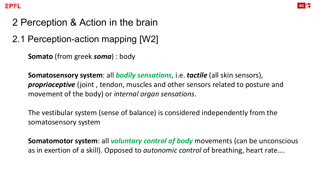

### 2 Perception & Action in the brain

2.1 Perception-action mapping [W2]

**Somato** (from greek *soma*) : body

**Somatosensory system**: all *bodily sensations*, i.e. *tactile* (all skin sensors), *proprioceptive* (joint , tendon, muscles and other sensors related to posture and movement of the body) or *internal organ sensations*.

The vestibular system (sense of balance) is considered independently from the somatosensory system

**Somatomotor system**: all *voluntary control of body* movements (can be unconscious as in exertion of a skill). Opposed to *autonomic control* of breathing, heart rate….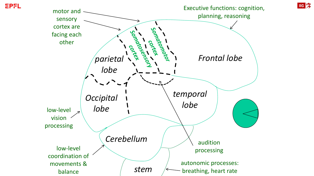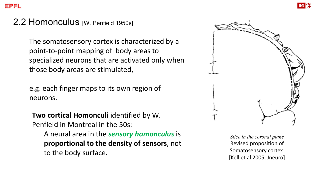#### 2.2 Homonculus [W. Penfield 1950s]

The somatosensory cortex is characterized by a point-to-point mapping of body areas to specialized neurons that are activated only when those body areas are stimulated,

e.g. each finger maps to its own region of neurons.

**Two cortical Homonculi** identified by W. Penfield in Montreal in the 50s:

A neural area in the *sensory homonculus* is **proportional to the density of sensors**, not to the body surface.



*Slice in the coronal plane* Revised proposition of Somatosensory cortex [Kell et al 2005, Jneuro]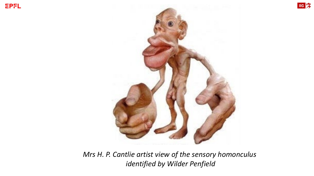



*Mrs H. P. Cantlie artist view of the sensory homonculus identified by Wilder Penfield*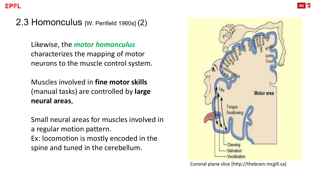2.3 Homonculus [W. Penfield 1960s] (2)

Likewise, the *motor homonculus*  characterizes the mapping of motor neurons to the muscle control system.

Muscles involved in **fine motor skills**  (manual tasks) are controlled by **large neural areas**,

Small neural areas for muscles involved in a regular motion pattern. Ex: locomotion is mostly encoded in the spine and tuned in the cerebellum.



Coronal plane slice [http://thebrain.mcgill.ca]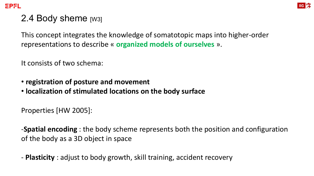

#### 2.4 Body sheme [W3]

This concept integrates the knowledge of somatotopic maps into higher-order representations to describe « **organized models of ourselves** ».

It consists of two schema:

- **registration of posture and movement**
- **localization of stimulated locations on the body surface**

Properties [HW 2005]:

-**Spatial encoding** : the body scheme represents both the position and configuration of the body as a 3D object in space

- **Plasticity** : adjust to body growth, skill training, accident recovery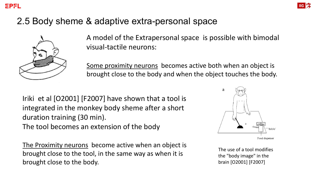

#### 2.5 Body sheme & adaptive extra-personal space



A model of the Extrapersonal space is possible with bimodal visual-tactile neurons:

Some proximity neurons becomes active both when an object is brought close to the body and when the object touches the body.

Iriki et al [O2001] [F2007] have shown that a tool is integrated in the monkey body sheme after a short duration training (30 min). The tool becomes an extension of the body

The Proximity neurons become active when an object is brought close to the tool, in the same way as when it is brought close to the body.



The use of a tool modifies the "body image" in the brain [O2001] [F2007]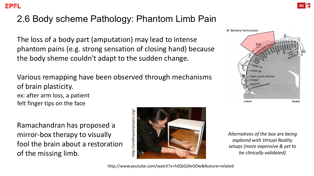#### 2.6 Body scheme Pathology: Phantom Limb Pain

The loss of a body part (amputation) may lead to intense phantom pains (e.g. strong sensation of closing hand) because the body sheme couldn't adapt to the sudden change.

Various remapping have been observed through mechanisms of brain plasticity. ex: after arm loss, a patient felt finger tips on the face

Ramachandran has proposed a mirror-box therapy to visually fool the brain about a restoration of the missing limb.





Lateral

Medial

*Alternatives of the box are being explored with Virtual Reality setups (more expensive & yet to be clinically validated)*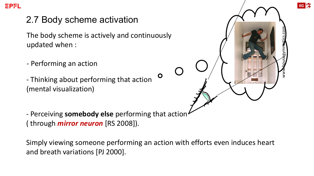

#### 2.7 Body scheme activation

The body scheme is actively and continuously updated when :

- Performing an action
- Thinking about performing that action (mental visualization)

- Perceiving **somebody else** performing that action ( through *mirror neuron* [RS 2008]).

Simply viewing someone performing an action with efforts even induces heart and breath variations [PJ 2000].

 $\mathbf O$ 



**IIG**<sub>2</sub>